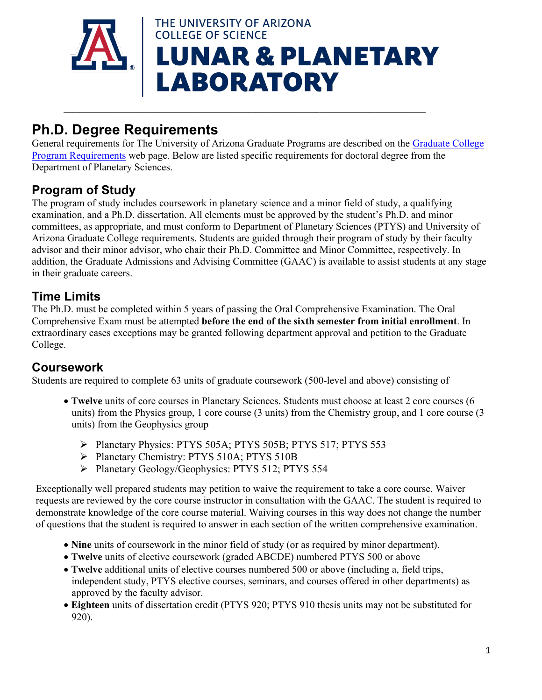

 $\mathcal{L}_\mathcal{L} = \mathcal{L}_\mathcal{L} = \mathcal{L}_\mathcal{L} = \mathcal{L}_\mathcal{L} = \mathcal{L}_\mathcal{L} = \mathcal{L}_\mathcal{L} = \mathcal{L}_\mathcal{L} = \mathcal{L}_\mathcal{L} = \mathcal{L}_\mathcal{L} = \mathcal{L}_\mathcal{L} = \mathcal{L}_\mathcal{L} = \mathcal{L}_\mathcal{L} = \mathcal{L}_\mathcal{L} = \mathcal{L}_\mathcal{L} = \mathcal{L}_\mathcal{L} = \mathcal{L}_\mathcal{L} = \mathcal{L}_\mathcal{L}$ 

# **Ph.D. Degree Requirements**

General requirements for The University of Arizona Graduate Programs are described on the [Graduate College](http://grad.arizona.edu/academics/program-requirements)  [Program Requirements](http://grad.arizona.edu/academics/program-requirements) web page. Below are listed specific requirements for doctoral degree from the Department of Planetary Sciences.

# **Program of Study**

The program of study includes coursework in planetary science and a minor field of study, a qualifying examination, and a Ph.D. dissertation. All elements must be approved by the student's Ph.D. and minor committees, as appropriate, and must conform to Department of Planetary Sciences (PTYS) and University of Arizona Graduate College requirements. Students are guided through their program of study by their faculty advisor and their minor advisor, who chair their Ph.D. Committee and Minor Committee, respectively. In addition, the Graduate Admissions and Advising Committee (GAAC) is available to assist students at any stage in their graduate careers.

# **Time Limits**

The Ph.D. must be completed within 5 years of passing the Oral Comprehensive Examination. The Oral Comprehensive Exam must be attempted **before the end of the sixth semester from initial enrollment**. In extraordinary cases exceptions may be granted following department approval and petition to the Graduate College.

#### **Coursework**

Students are required to complete 63 units of graduate coursework (500-level and above) consisting of

- **Twelve** units of core courses in Planetary Sciences. Students must choose at least 2 core courses (6 units) from the Physics group, 1 core course (3 units) from the Chemistry group, and 1 core course (3 units) from the Geophysics group
	- Planetary Physics: PTYS 505A; PTYS 505B; PTYS 517; PTYS 553
	- Planetary Chemistry: PTYS 510A; PTYS 510B
	- Planetary Geology/Geophysics: PTYS 512; PTYS 554

Exceptionally well prepared students may petition to waive the requirement to take a core course. Waiver requests are reviewed by the core course instructor in consultation with the GAAC. The student is required to demonstrate knowledge of the core course material. Waiving courses in this way does not change the number of questions that the student is required to answer in each section of the written comprehensive examination.

- **Nine** units of coursework in the minor field of study (or as required by minor department).
- **Twelve** units of elective coursework (graded ABCDE) numbered PTYS 500 or above
- **Twelve** additional units of elective courses numbered 500 or above (including a, field trips, independent study, PTYS elective courses, seminars, and courses offered in other departments) as approved by the faculty advisor.
- **Eighteen** units of dissertation credit (PTYS 920; PTYS 910 thesis units may not be substituted for 920).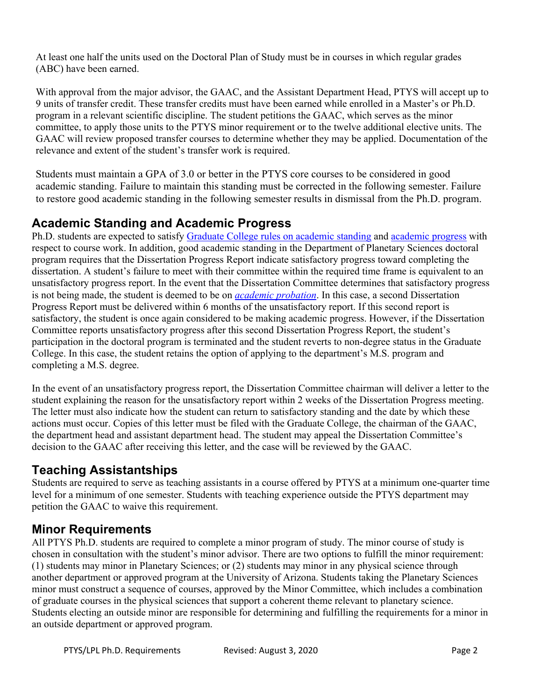At least one half the units used on the Doctoral Plan of Study must be in courses in which regular grades (ABC) have been earned.

With approval from the major advisor, the GAAC, and the Assistant Department Head, PTYS will accept up to 9 units of transfer credit. These transfer credits must have been earned while enrolled in a Master's or Ph.D. program in a relevant scientific discipline. The student petitions the GAAC, which serves as the minor committee, to apply those units to the PTYS minor requirement or to the twelve additional elective units. The GAAC will review proposed transfer courses to determine whether they may be applied. Documentation of the relevance and extent of the student's transfer work is required.

Students must maintain a GPA of 3.0 or better in the PTYS core courses to be considered in good academic standing. Failure to maintain this standing must be corrected in the following semester. Failure to restore good academic standing in the following semester results in dismissal from the Ph.D. program.

#### **Academic Standing and Academic Progress**

Ph.D. students are expected to satisfy [Graduate College rules on academic standing](http://catalog.arizona.edu/policy/graduate-academic-standing-progress-and-probation) and [academic progress](http://grad.arizona.edu/academics/policies/academic-policies/satisfactory-academic-progress) with respect to course work. In addition, good academic standing in the Department of Planetary Sciences doctoral program requires that the Dissertation Progress Report indicate satisfactory progress toward completing the dissertation. A student's failure to meet with their committee within the required time frame is equivalent to an unsatisfactory progress report. In the event that the Dissertation Committee determines that satisfactory progress is not being made, the student is deemed to be on *[academic probation](http://grad.arizona.edu/academics/policies/academic-policies/academic-probation)*. In this case, a second Dissertation Progress Report must be delivered within 6 months of the unsatisfactory report. If this second report is satisfactory, the student is once again considered to be making academic progress. However, if the Dissertation Committee reports unsatisfactory progress after this second Dissertation Progress Report, the student's participation in the doctoral program is terminated and the student reverts to non-degree status in the Graduate College. In this case, the student retains the option of applying to the department's M.S. program and completing a M.S. degree.

In the event of an unsatisfactory progress report, the Dissertation Committee chairman will deliver a letter to the student explaining the reason for the unsatisfactory report within 2 weeks of the Dissertation Progress meeting. The letter must also indicate how the student can return to satisfactory standing and the date by which these actions must occur. Copies of this letter must be filed with the Graduate College, the chairman of the GAAC, the department head and assistant department head. The student may appeal the Dissertation Committee's decision to the GAAC after receiving this letter, and the case will be reviewed by the GAAC.

# **Teaching Assistantships**

Students are required to serve as teaching assistants in a course offered by PTYS at a minimum one-quarter time level for a minimum of one semester. Students with teaching experience outside the PTYS department may petition the GAAC to waive this requirement.

# **Minor Requirements**

All PTYS Ph.D. students are required to complete a minor program of study. The minor course of study is chosen in consultation with the student's minor advisor. There are two options to fulfill the minor requirement: (1) students may minor in Planetary Sciences; or (2) students may minor in any physical science through another department or approved program at the University of Arizona. Students taking the Planetary Sciences minor must construct a sequence of courses, approved by the Minor Committee, which includes a combination of graduate courses in the physical sciences that support a coherent theme relevant to planetary science. Students electing an outside minor are responsible for determining and fulfilling the requirements for a minor in an outside department or approved program.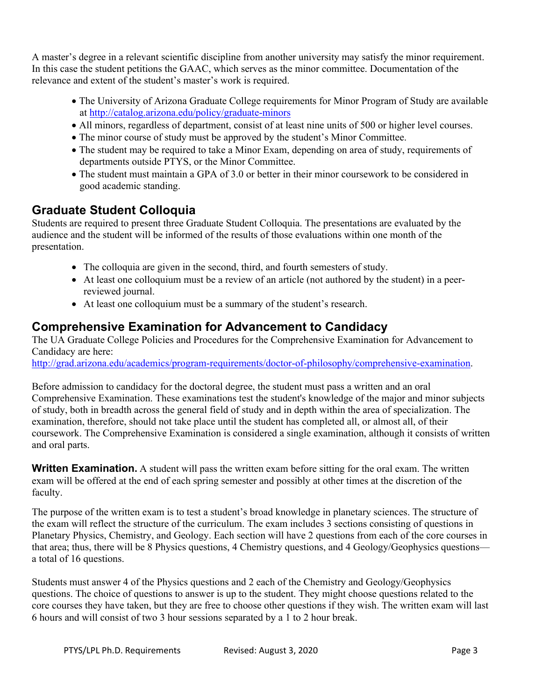A master's degree in a relevant scientific discipline from another university may satisfy the minor requirement. In this case the student petitions the GAAC, which serves as the minor committee. Documentation of the relevance and extent of the student's master's work is required.

- The University of Arizona Graduate College requirements for Minor Program of Study are available at<http://catalog.arizona.edu/policy/graduate-minors>
- All minors, regardless of department, consist of at least nine units of 500 or higher level courses.
- The minor course of study must be approved by the student's Minor Committee.
- The student may be required to take a Minor Exam, depending on area of study, requirements of departments outside PTYS, or the Minor Committee.
- The student must maintain a GPA of 3.0 or better in their minor coursework to be considered in good academic standing.

#### **Graduate Student Colloquia**

Students are required to present three Graduate Student Colloquia. The presentations are evaluated by the audience and the student will be informed of the results of those evaluations within one month of the presentation.

- The colloquia are given in the second, third, and fourth semesters of study.
- At least one colloquium must be a review of an article (not authored by the student) in a peerreviewed journal.
- At least one colloquium must be a summary of the student's research.

# **Comprehensive Examination for Advancement to Candidacy**

The UA Graduate College Policies and Procedures for the Comprehensive Examination for Advancement to Candidacy are here:

[http://grad.arizona.edu/academics/program-requirements/doctor-of-philosophy/comprehensive-examination.](http://grad.arizona.edu/academics/program-requirements/doctor-of-philosophy/comprehensive-examination)

Before admission to candidacy for the doctoral degree, the student must pass a written and an oral Comprehensive Examination. These examinations test the student's knowledge of the major and minor subjects of study, both in breadth across the general field of study and in depth within the area of specialization. The examination, therefore, should not take place until the student has completed all, or almost all, of their coursework. The Comprehensive Examination is considered a single examination, although it consists of written and oral parts.

**Written Examination.** A student will pass the written exam before sitting for the oral exam. The written exam will be offered at the end of each spring semester and possibly at other times at the discretion of the faculty.

The purpose of the written exam is to test a student's broad knowledge in planetary sciences. The structure of the exam will reflect the structure of the curriculum. The exam includes 3 sections consisting of questions in Planetary Physics, Chemistry, and Geology. Each section will have 2 questions from each of the core courses in that area; thus, there will be 8 Physics questions, 4 Chemistry questions, and 4 Geology/Geophysics questions a total of 16 questions.

Students must answer 4 of the Physics questions and 2 each of the Chemistry and Geology/Geophysics questions. The choice of questions to answer is up to the student. They might choose questions related to the core courses they have taken, but they are free to choose other questions if they wish. The written exam will last 6 hours and will consist of two 3 hour sessions separated by a 1 to 2 hour break.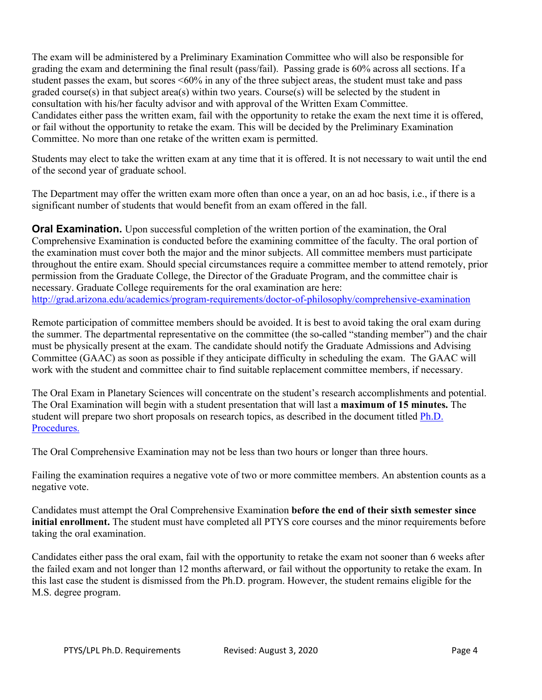The exam will be administered by a Preliminary Examination Committee who will also be responsible for grading the exam and determining the final result (pass/fail). Passing grade is 60% across all sections. If a student passes the exam, but scores <60% in any of the three subject areas, the student must take and pass graded course(s) in that subject area(s) within two years. Course(s) will be selected by the student in consultation with his/her faculty advisor and with approval of the Written Exam Committee. Candidates either pass the written exam, fail with the opportunity to retake the exam the next time it is offered, or fail without the opportunity to retake the exam. This will be decided by the Preliminary Examination Committee. No more than one retake of the written exam is permitted.

Students may elect to take the written exam at any time that it is offered. It is not necessary to wait until the end of the second year of graduate school.

The Department may offer the written exam more often than once a year, on an ad hoc basis, i.e., if there is a significant number of students that would benefit from an exam offered in the fall.

**Oral Examination.** Upon successful completion of the written portion of the examination, the Oral Comprehensive Examination is conducted before the examining committee of the faculty. The oral portion of the examination must cover both the major and the minor subjects. All committee members must participate throughout the entire exam. Should special circumstances require a committee member to attend remotely, prior permission from the Graduate College, the Director of the Graduate Program, and the committee chair is necessary. Graduate College requirements for the oral examination are here: <http://grad.arizona.edu/academics/program-requirements/doctor-of-philosophy/comprehensive-examination>

Remote participation of committee members should be avoided. It is best to avoid taking the oral exam during the summer. The departmental representative on the committee (the so-called "standing member") and the chair must be physically present at the exam. The candidate should notify the Graduate Admissions and Advising Committee (GAAC) as soon as possible if they anticipate difficulty in scheduling the exam. The GAAC will work with the student and committee chair to find suitable replacement committee members, if necessary.

The Oral Exam in Planetary Sciences will concentrate on the student's research accomplishments and potential. The Oral Examination will begin with a student presentation that will last a **maximum of 15 minutes.** The student will prepare two short proposals on research topics, as described in the document titled [Ph.D.](http://www.lpl.arizona.edu/sites/default/files/graduate/forms/PHDProcedures.pdf)  [Procedures.](http://www.lpl.arizona.edu/sites/default/files/graduate/forms/PHDProcedures.pdf)

The Oral Comprehensive Examination may not be less than two hours or longer than three hours.

Failing the examination requires a negative vote of two or more committee members. An abstention counts as a negative vote.

Candidates must attempt the Oral Comprehensive Examination **before the end of their sixth semester since initial enrollment.** The student must have completed all PTYS core courses and the minor requirements before taking the oral examination.

Candidates either pass the oral exam, fail with the opportunity to retake the exam not sooner than 6 weeks after the failed exam and not longer than 12 months afterward, or fail without the opportunity to retake the exam. In this last case the student is dismissed from the Ph.D. program. However, the student remains eligible for the M.S. degree program.